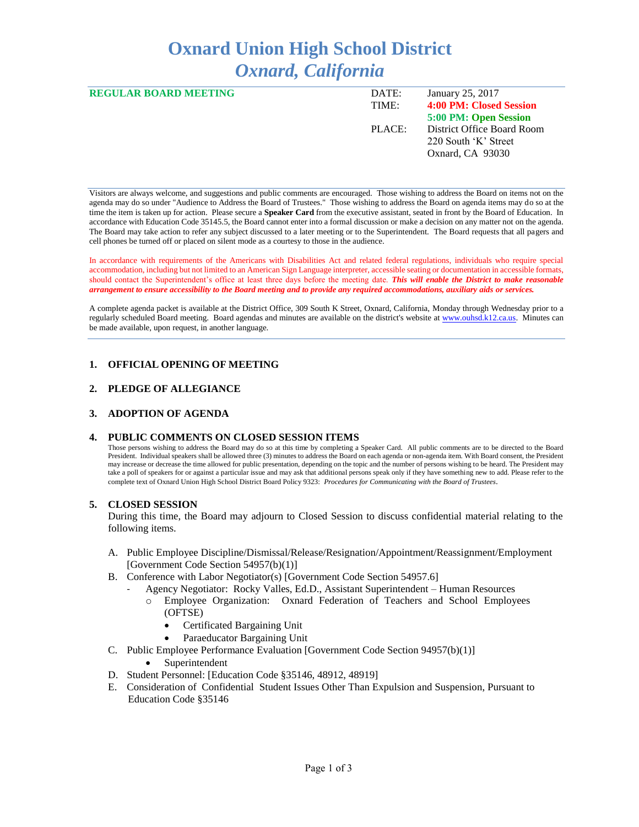# **Oxnard Union High School District** *Oxnard, California*

| <b>REGULAR BOARD MEETING</b> | DATE:<br>TIME: | January 25, 2017<br>4:00 PM: Closed Session |
|------------------------------|----------------|---------------------------------------------|
|                              |                |                                             |
|                              |                | 5:00 PM: Open Session                       |
|                              | PLACE:         | District Office Board Room                  |
|                              |                | 220 South 'K' Street                        |
|                              |                |                                             |
|                              |                | Oxnard, CA 93030                            |
|                              |                |                                             |

Visitors are always welcome, and suggestions and public comments are encouraged. Those wishing to address the Board on items not on the agenda may do so under "Audience to Address the Board of Trustees." Those wishing to address the Board on agenda items may do so at the time the item is taken up for action. Please secure a **Speaker Card** from the executive assistant, seated in front by the Board of Education. In accordance with Education Code 35145.5, the Board cannot enter into a formal discussion or make a decision on any matter not on the agenda. The Board may take action to refer any subject discussed to a later meeting or to the Superintendent. The Board requests that all pagers and cell phones be turned off or placed on silent mode as a courtesy to those in the audience.

In accordance with requirements of the Americans with Disabilities Act and related federal regulations, individuals who require special accommodation, including but not limited to an American Sign Language interpreter, accessible seating or documentation in accessible formats, should contact the Superintendent's office at least three days before the meeting date. *This will enable the District to make reasonable arrangement to ensure accessibility to the Board meeting and to provide any required accommodations, auxiliary aids or services.* 

A complete agenda packet is available at the District Office, 309 South K Street, Oxnard, California, Monday through Wednesday prior to a regularly scheduled Board meeting. Board agendas and minutes are available on the district's website a[t www.ouhsd.k12.ca.us.](http://www.ouhsd.k12.ca.us/)Minutes can be made available, upon request, in another language.

## **1. OFFICIAL OPENING OF MEETING**

## **2. PLEDGE OF ALLEGIANCE**

#### **3. ADOPTION OF AGENDA**

#### **4. PUBLIC COMMENTS ON CLOSED SESSION ITEMS**

Those persons wishing to address the Board may do so at this time by completing a Speaker Card. All public comments are to be directed to the Board President. Individual speakers shall be allowed three (3) minutes to address the Board on each agenda or non-agenda item. With Board consent, the President may increase or decrease the time allowed for public presentation, depending on the topic and the number of persons wishing to be heard. The President may take a poll of speakers for or against a particular issue and may ask that additional persons speak only if they have something new to add. Please refer to the complete text of Oxnard Union High School District Board Policy 9323: *Procedures for Communicating with the Board of Trustees*.

#### **5. CLOSED SESSION**

During this time, the Board may adjourn to Closed Session to discuss confidential material relating to the following items.

- A. Public Employee Discipline/Dismissal/Release/Resignation/Appointment/Reassignment/Employment [Government Code Section 54957(b)(1)]
- B. Conference with Labor Negotiator(s) [Government Code Section 54957.6]
	- Agency Negotiator: Rocky Valles, Ed.D., Assistant Superintendent Human Resources
		- o Employee Organization: Oxnard Federation of Teachers and School Employees (OFTSE)
			- Certificated Bargaining Unit
			- Paraeducator Bargaining Unit
- C. Public Employee Performance Evaluation [Government Code Section 94957(b)(1)]
	- Superintendent
- D. Student Personnel: [Education Code §35146, 48912, 48919]
- E. Consideration of Confidential Student Issues Other Than Expulsion and Suspension, Pursuant to Education Code §35146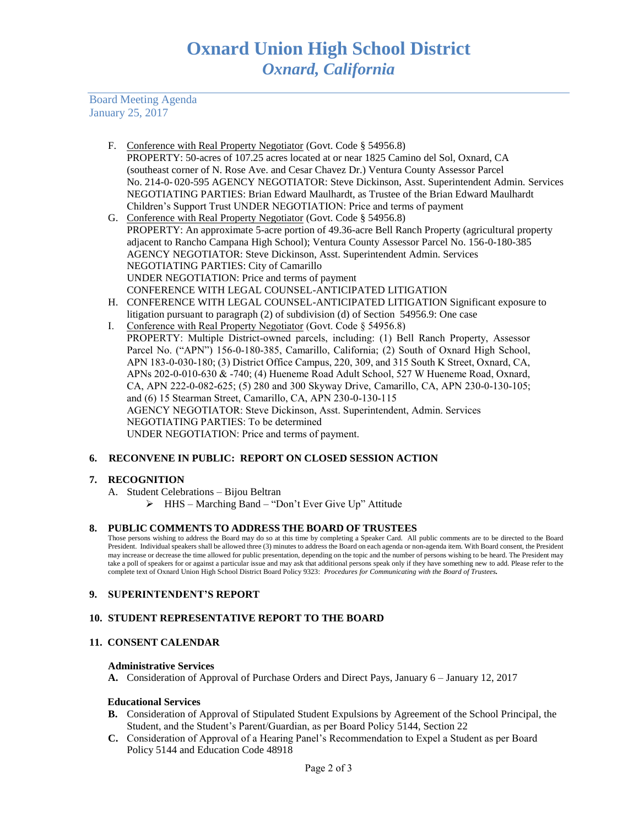Board Meeting Agenda January 25, 2017

- F. Conference with Real Property Negotiator (Govt. Code § 54956.8) PROPERTY: 50-acres of 107.25 acres located at or near 1825 Camino del Sol, Oxnard, CA (southeast corner of N. Rose Ave. and Cesar Chavez Dr.) Ventura County Assessor Parcel No. 214-0- 020-595 AGENCY NEGOTIATOR: Steve Dickinson, Asst. Superintendent Admin. Services NEGOTIATING PARTIES: Brian Edward Maulhardt, as Trustee of the Brian Edward Maulhardt Children's Support Trust UNDER NEGOTIATION: Price and terms of payment
- G. Conference with Real Property Negotiator (Govt. Code § 54956.8) PROPERTY: An approximate 5-acre portion of 49.36-acre Bell Ranch Property (agricultural property adjacent to Rancho Campana High School); Ventura County Assessor Parcel No. 156-0-180-385 AGENCY NEGOTIATOR: Steve Dickinson, Asst. Superintendent Admin. Services NEGOTIATING PARTIES: City of Camarillo UNDER NEGOTIATION: Price and terms of payment CONFERENCE WITH LEGAL COUNSEL-ANTICIPATED LITIGATION
- H. CONFERENCE WITH LEGAL COUNSEL-ANTICIPATED LITIGATION Significant exposure to litigation pursuant to paragraph (2) of subdivision (d) of Section 54956.9: One case
- I. Conference with Real Property Negotiator (Govt. Code § 54956.8) PROPERTY: Multiple District-owned parcels, including: (1) Bell Ranch Property, Assessor Parcel No. ("APN") 156-0-180-385, Camarillo, California; (2) South of Oxnard High School, APN 183-0-030-180; (3) District Office Campus, 220, 309, and 315 South K Street, Oxnard, CA, APNs 202-0-010-630 & -740; (4) Hueneme Road Adult School, 527 W Hueneme Road, Oxnard, CA, APN 222-0-082-625; (5) 280 and 300 Skyway Drive, Camarillo, CA, APN 230-0-130-105; and (6) 15 Stearman Street, Camarillo, CA, APN 230-0-130-115 AGENCY NEGOTIATOR: Steve Dickinson, Asst. Superintendent, Admin. Services NEGOTIATING PARTIES: To be determined UNDER NEGOTIATION: Price and terms of payment.

# **6. RECONVENE IN PUBLIC: REPORT ON CLOSED SESSION ACTION**

## **7. RECOGNITION**

- A. Student Celebrations Bijou Beltran
	- HHS Marching Band "Don't Ever Give Up" Attitude

## **8. PUBLIC COMMENTS TO ADDRESS THE BOARD OF TRUSTEES**

Those persons wishing to address the Board may do so at this time by completing a Speaker Card. All public comments are to be directed to the Board President. Individual speakers shall be allowed three (3) minutes to address the Board on each agenda or non-agenda item. With Board consent, the President may increase or decrease the time allowed for public presentation, depending on the topic and the number of persons wishing to be heard. The President may take a poll of speakers for or against a particular issue and may ask that additional persons speak only if they have something new to add. Please refer to the complete text of Oxnard Union High School District Board Policy 9323: *Procedures for Communicating with the Board of Trustees.*

## **9. SUPERINTENDENT'S REPORT**

## **10. STUDENT REPRESENTATIVE REPORT TO THE BOARD**

## **11. CONSENT CALENDAR**

#### **Administrative Services**

**A.** Consideration of Approval of Purchase Orders and Direct Pays, January 6 – January 12, 2017

#### **Educational Services**

- **B.** Consideration of Approval of Stipulated Student Expulsions by Agreement of the School Principal, the Student, and the Student's Parent/Guardian, as per Board Policy 5144, Section 22
- **C.** Consideration of Approval of a Hearing Panel's Recommendation to Expel a Student as per Board Policy 5144 and Education Code 48918